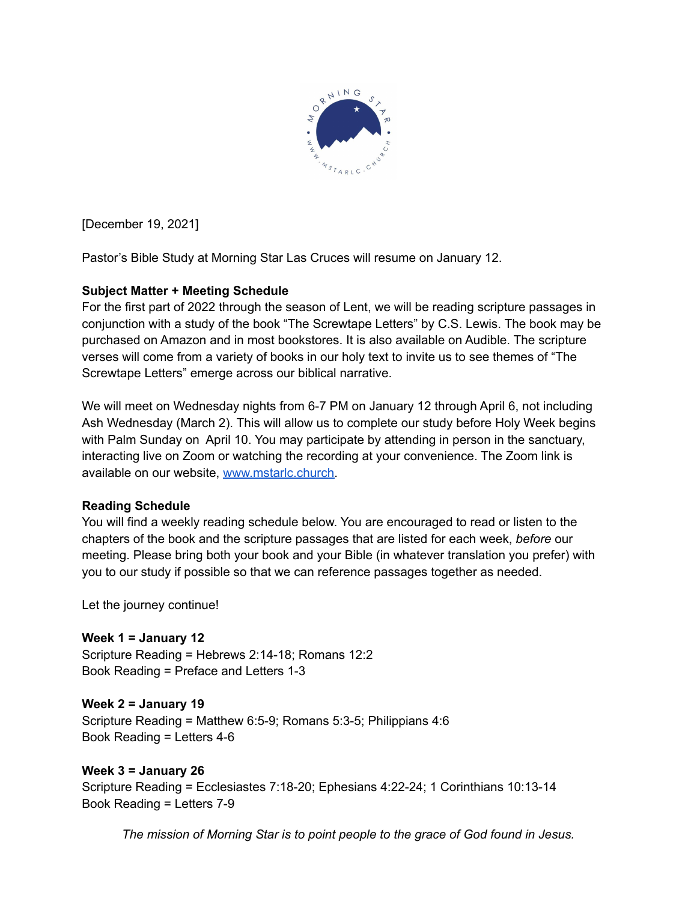

[December 19, 2021]

Pastor's Bible Study at Morning Star Las Cruces will resume on January 12.

# **Subject Matter + Meeting Schedule**

For the first part of 2022 through the season of Lent, we will be reading scripture passages in conjunction with a study of the book "The Screwtape Letters" by C.S. Lewis. The book may be purchased on Amazon and in most bookstores. It is also available on Audible. The scripture verses will come from a variety of books in our holy text to invite us to see themes of "The Screwtape Letters" emerge across our biblical narrative.

We will meet on Wednesday nights from 6-7 PM on January 12 through April 6, not including Ash Wednesday (March 2). This will allow us to complete our study before Holy Week begins with Palm Sunday on April 10. You may participate by attending in person in the sanctuary, interacting live on Zoom or watching the recording at your convenience. The Zoom link is available on our website, [www.mstarlc.church.](http://www.mstarlc.church)

# **Reading Schedule**

You will find a weekly reading schedule below. You are encouraged to read or listen to the chapters of the book and the scripture passages that are listed for each week, *before* our meeting. Please bring both your book and your Bible (in whatever translation you prefer) with you to our study if possible so that we can reference passages together as needed.

Let the journey continue!

**Week 1 = January 12** Scripture Reading = Hebrews 2:14-18; Romans 12:2 Book Reading = Preface and Letters 1-3

# **Week 2 = January 19**

Scripture Reading = Matthew 6:5-9; Romans 5:3-5; Philippians 4:6 Book Reading = Letters 4-6

# **Week 3 = January 26**

Scripture Reading = Ecclesiastes 7:18-20; Ephesians 4:22-24; 1 Corinthians 10:13-14 Book Reading = Letters 7-9

*The mission of Morning Star is to point people to the grace of God found in Jesus.*